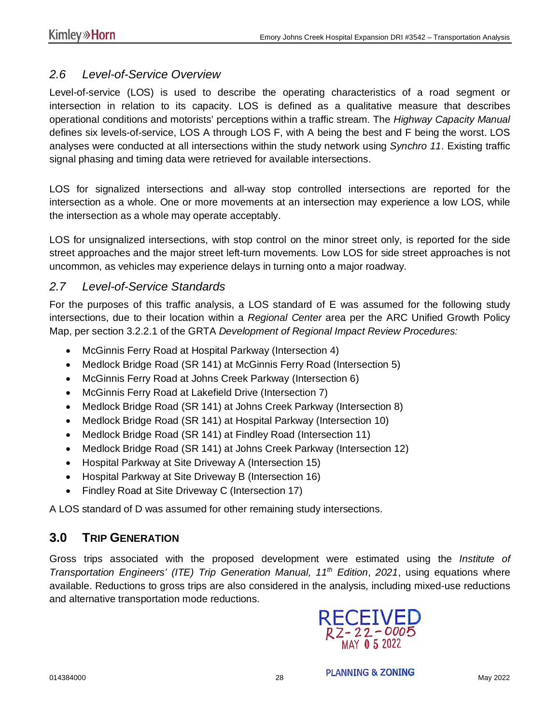## *2.6 Level-of-Service Overview*

Level-of-service (LOS) is used to describe the operating characteristics of a road segment or intersection in relation to its capacity. LOS is defined as a qualitative measure that describes operational conditions and motorists' perceptions within a traffic stream. The *Highway Capacity Manual* defines six levels-of-service, LOS A through LOS F, with A being the best and F being the worst. LOS analyses were conducted at all intersections within the study network using *Synchro 11*. Existing traffic signal phasing and timing data were retrieved for available intersections.

LOS for signalized intersections and all-way stop controlled intersections are reported for the intersection as a whole. One or more movements at an intersection may experience a low LOS, while the intersection as a whole may operate acceptably.

LOS for unsignalized intersections, with stop control on the minor street only, is reported for the side street approaches and the major street left-turn movements. Low LOS for side street approaches is not uncommon, as vehicles may experience delays in turning onto a major roadway.

## *2.7 Level-of-Service Standards*

For the purposes of this traffic analysis, a LOS standard of E was assumed for the following study intersections, due to their location within a *Regional Center* area per the ARC Unified Growth Policy Map, per section 3.2.2.1 of the GRTA *Development of Regional Impact Review Procedures:*

- · McGinnis Ferry Road at Hospital Parkway (Intersection 4)
- · Medlock Bridge Road (SR 141) at McGinnis Ferry Road (Intersection 5)
- · McGinnis Ferry Road at Johns Creek Parkway (Intersection 6)
- · McGinnis Ferry Road at Lakefield Drive (Intersection 7)
- · Medlock Bridge Road (SR 141) at Johns Creek Parkway (Intersection 8)
- · Medlock Bridge Road (SR 141) at Hospital Parkway (Intersection 10)
- Medlock Bridge Road (SR 141) at Findley Road (Intersection 11)
- · Medlock Bridge Road (SR 141) at Johns Creek Parkway (Intersection 12)
- · Hospital Parkway at Site Driveway A (Intersection 15)
- · Hospital Parkway at Site Driveway B (Intersection 16)
- Findley Road at Site Driveway C (Intersection 17)

A LOS standard of D was assumed for other remaining study intersections.

## **3.0 TRIP GENERATION**

Gross trips associated with the proposed development were estimated using the *Institute of Transportation Engineers' (ITE) Trip Generation Manual, 11th Edition*, *2021*, using equations where available. Reductions to gross trips are also considered in the analysis, including mixed-use reductions and alternative transportation mode reductions.